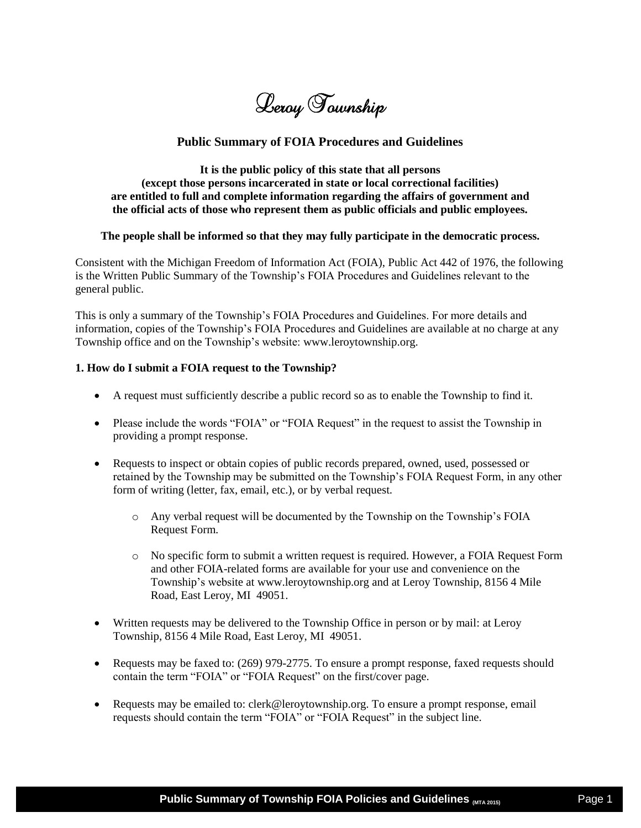Leroy Township

# **Public Summary of FOIA Procedures and Guidelines**

**It is the public policy of this state that all persons (except those persons incarcerated in state or local correctional facilities) are entitled to full and complete information regarding the affairs of government and the official acts of those who represent them as public officials and public employees.** 

#### **The people shall be informed so that they may fully participate in the democratic process.**

Consistent with the Michigan Freedom of Information Act (FOIA), Public Act 442 of 1976, the following is the Written Public Summary of the Township's FOIA Procedures and Guidelines relevant to the general public.

This is only a summary of the Township's FOIA Procedures and Guidelines. For more details and information, copies of the Township's FOIA Procedures and Guidelines are available at no charge at any Township office and on the Township's website: www.leroytownship.org.

#### **1. How do I submit a FOIA request to the Township?**

- A request must sufficiently describe a public record so as to enable the Township to find it.
- Please include the words "FOIA" or "FOIA Request" in the request to assist the Township in providing a prompt response.
- Requests to inspect or obtain copies of public records prepared, owned, used, possessed or retained by the Township may be submitted on the Township's FOIA Request Form, in any other form of writing (letter, fax, email, etc.), or by verbal request.
	- o Any verbal request will be documented by the Township on the Township's FOIA Request Form.
	- o No specific form to submit a written request is required. However, a FOIA Request Form and other FOIA-related forms are available for your use and convenience on the Township's website at www.leroytownship.org and at Leroy Township, 8156 4 Mile Road, East Leroy, MI 49051.
- Written requests may be delivered to the Township Office in person or by mail: at Leroy Township, 8156 4 Mile Road, East Leroy, MI 49051.
- Requests may be faxed to: (269) 979-2775. To ensure a prompt response, faxed requests should contain the term "FOIA" or "FOIA Request" on the first/cover page.
- Requests may be emailed to: clerk@leroytownship.org. To ensure a prompt response, email requests should contain the term "FOIA" or "FOIA Request" in the subject line.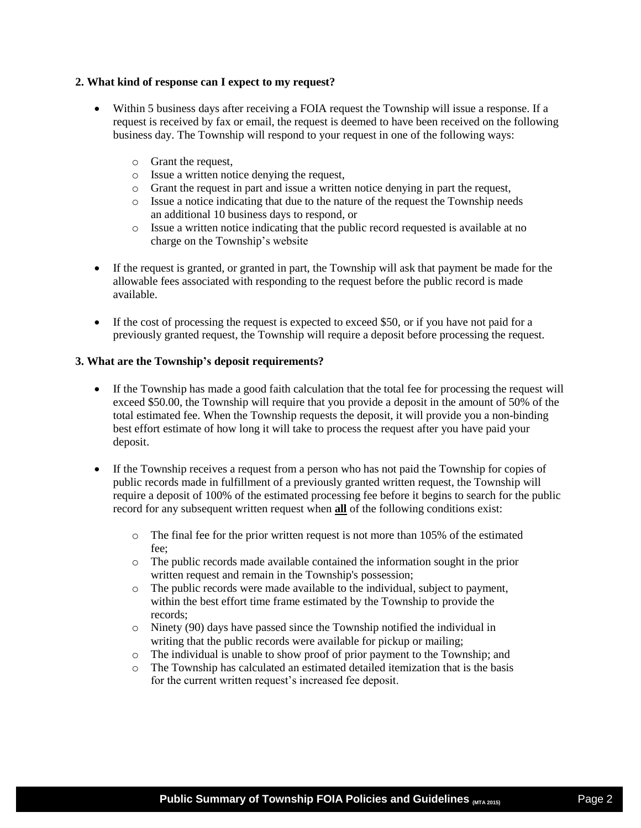#### **2. What kind of response can I expect to my request?**

- Within 5 business days after receiving a FOIA request the Township will issue a response. If a request is received by fax or email, the request is deemed to have been received on the following business day. The Township will respond to your request in one of the following ways:
	- o Grant the request,
	- o Issue a written notice denying the request,
	- o Grant the request in part and issue a written notice denying in part the request,
	- o Issue a notice indicating that due to the nature of the request the Township needs an additional 10 business days to respond, or
	- o Issue a written notice indicating that the public record requested is available at no charge on the Township's website
- If the request is granted, or granted in part, the Township will ask that payment be made for the allowable fees associated with responding to the request before the public record is made available.
- If the cost of processing the request is expected to exceed \$50, or if you have not paid for a previously granted request, the Township will require a deposit before processing the request.

#### **3. What are the Township's deposit requirements?**

- If the Township has made a good faith calculation that the total fee for processing the request will exceed \$50.00, the Township will require that you provide a deposit in the amount of 50% of the total estimated fee. When the Township requests the deposit, it will provide you a non-binding best effort estimate of how long it will take to process the request after you have paid your deposit.
- If the Township receives a request from a person who has not paid the Township for copies of public records made in fulfillment of a previously granted written request, the Township will require a deposit of 100% of the estimated processing fee before it begins to search for the public record for any subsequent written request when **all** of the following conditions exist:
	- $\circ$  The final fee for the prior written request is not more than 105% of the estimated fee;
	- o The public records made available contained the information sought in the prior written request and remain in the Township's possession;
	- o The public records were made available to the individual, subject to payment, within the best effort time frame estimated by the Township to provide the records;
	- o Ninety (90) days have passed since the Township notified the individual in writing that the public records were available for pickup or mailing;
	- o The individual is unable to show proof of prior payment to the Township; and
	- o The Township has calculated an estimated detailed itemization that is the basis for the current written request's increased fee deposit.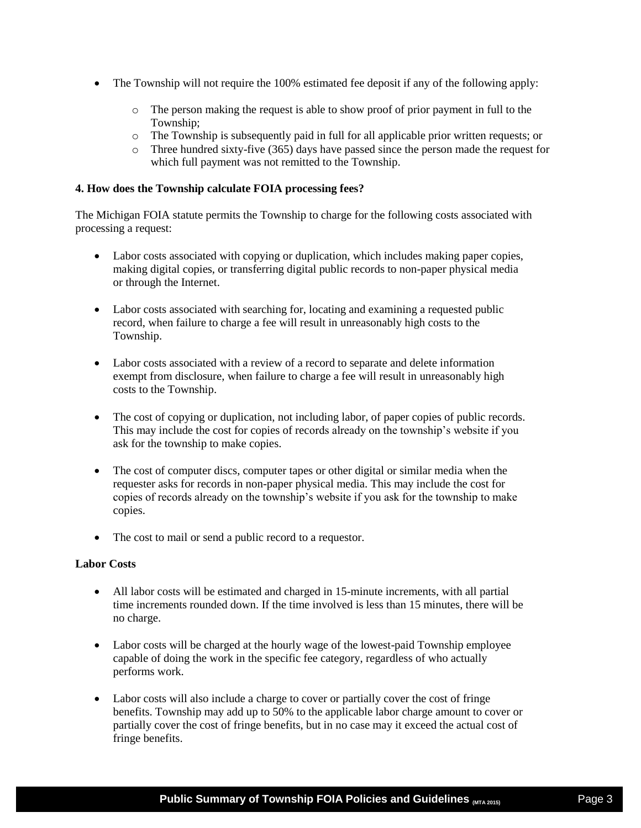- The Township will not require the 100% estimated fee deposit if any of the following apply:
	- o The person making the request is able to show proof of prior payment in full to the Township;
	- o The Township is subsequently paid in full for all applicable prior written requests; or
	- o Three hundred sixty-five (365) days have passed since the person made the request for which full payment was not remitted to the Township.

#### **4. How does the Township calculate FOIA processing fees?**

The Michigan FOIA statute permits the Township to charge for the following costs associated with processing a request:

- Labor costs associated with copying or duplication, which includes making paper copies, making digital copies, or transferring digital public records to non-paper physical media or through the Internet.
- Labor costs associated with searching for, locating and examining a requested public record, when failure to charge a fee will result in unreasonably high costs to the Township.
- Labor costs associated with a review of a record to separate and delete information exempt from disclosure, when failure to charge a fee will result in unreasonably high costs to the Township.
- The cost of copying or duplication, not including labor, of paper copies of public records. This may include the cost for copies of records already on the township's website if you ask for the township to make copies.
- The cost of computer discs, computer tapes or other digital or similar media when the requester asks for records in non-paper physical media. This may include the cost for copies of records already on the township's website if you ask for the township to make copies.
- The cost to mail or send a public record to a requestor.

## **Labor Costs**

- All labor costs will be estimated and charged in 15-minute increments, with all partial time increments rounded down. If the time involved is less than 15 minutes, there will be no charge.
- Labor costs will be charged at the hourly wage of the lowest-paid Township employee capable of doing the work in the specific fee category, regardless of who actually performs work.
- Labor costs will also include a charge to cover or partially cover the cost of fringe benefits. Township may add up to 50% to the applicable labor charge amount to cover or partially cover the cost of fringe benefits, but in no case may it exceed the actual cost of fringe benefits.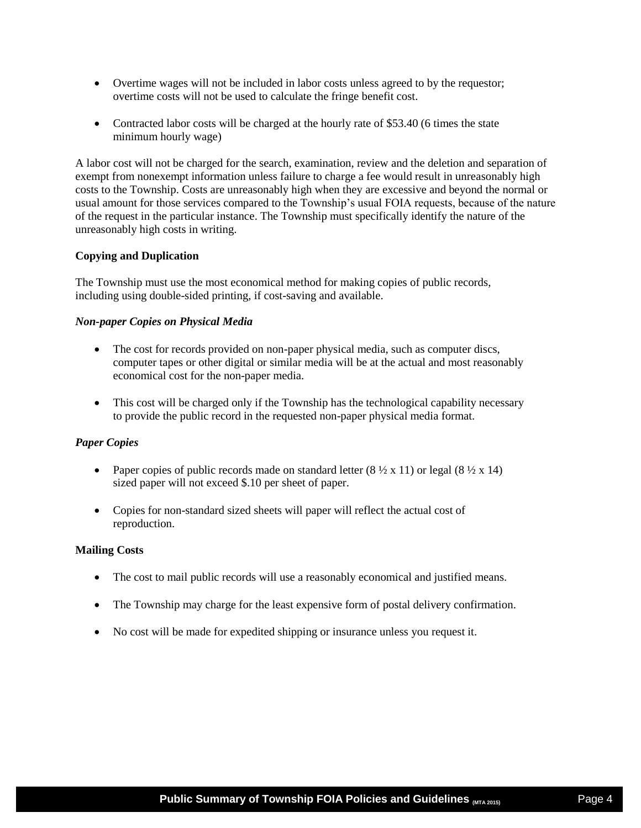- Overtime wages will not be included in labor costs unless agreed to by the requestor; overtime costs will not be used to calculate the fringe benefit cost.
- Contracted labor costs will be charged at the hourly rate of \$53.40 (6 times the state minimum hourly wage)

A labor cost will not be charged for the search, examination, review and the deletion and separation of exempt from nonexempt information unless failure to charge a fee would result in unreasonably high costs to the Township. Costs are unreasonably high when they are excessive and beyond the normal or usual amount for those services compared to the Township's usual FOIA requests, because of the nature of the request in the particular instance. The Township must specifically identify the nature of the unreasonably high costs in writing.

## **Copying and Duplication**

The Township must use the most economical method for making copies of public records, including using double-sided printing, if cost-saving and available.

## *Non-paper Copies on Physical Media*

- The cost for records provided on non-paper physical media, such as computer discs, computer tapes or other digital or similar media will be at the actual and most reasonably economical cost for the non-paper media.
- This cost will be charged only if the Township has the technological capability necessary to provide the public record in the requested non-paper physical media format.

## *Paper Copies*

- Paper copies of public records made on standard letter  $(8 \frac{1}{2} \times 11)$  or legal  $(8 \frac{1}{2} \times 14)$ sized paper will not exceed \$.10 per sheet of paper.
- Copies for non-standard sized sheets will paper will reflect the actual cost of reproduction.

## **Mailing Costs**

- The cost to mail public records will use a reasonably economical and justified means.
- The Township may charge for the least expensive form of postal delivery confirmation.
- No cost will be made for expedited shipping or insurance unless you request it.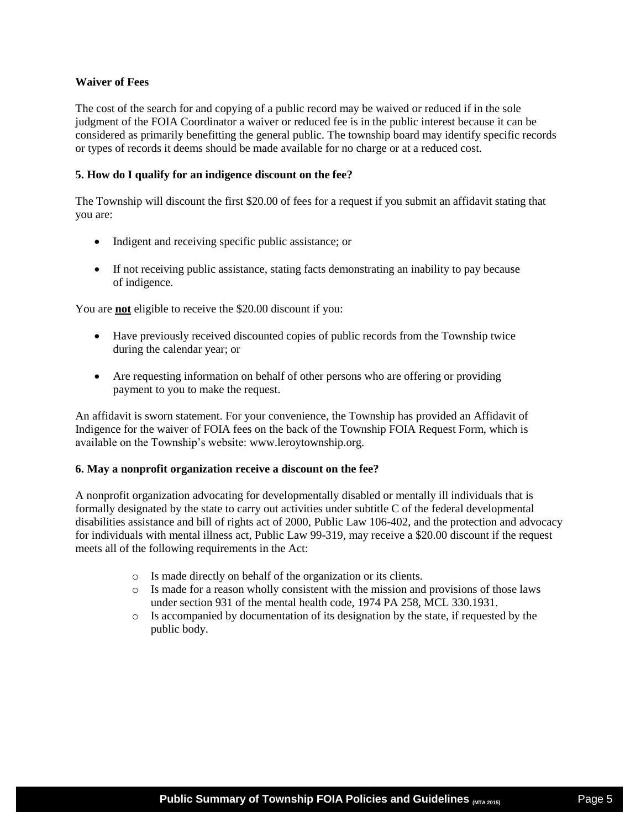## **Waiver of Fees**

The cost of the search for and copying of a public record may be waived or reduced if in the sole judgment of the FOIA Coordinator a waiver or reduced fee is in the public interest because it can be considered as primarily benefitting the general public. The township board may identify specific records or types of records it deems should be made available for no charge or at a reduced cost.

## **5. How do I qualify for an indigence discount on the fee?**

The Township will discount the first \$20.00 of fees for a request if you submit an affidavit stating that you are:

- Indigent and receiving specific public assistance; or
- If not receiving public assistance, stating facts demonstrating an inability to pay because of indigence.

You are **not** eligible to receive the \$20.00 discount if you:

- Have previously received discounted copies of public records from the Township twice during the calendar year; or
- Are requesting information on behalf of other persons who are offering or providing payment to you to make the request.

An affidavit is sworn statement. For your convenience, the Township has provided an Affidavit of Indigence for the waiver of FOIA fees on the back of the Township FOIA Request Form, which is available on the Township's website: www.leroytownship.org.

## **6. May a nonprofit organization receive a discount on the fee?**

A nonprofit organization advocating for developmentally disabled or mentally ill individuals that is formally designated by the state to carry out activities under subtitle C of the federal developmental disabilities assistance and bill of rights act of 2000, Public Law 106-402, and the protection and advocacy for individuals with mental illness act, Public Law 99-319, may receive a \$20.00 discount if the request meets all of the following requirements in the Act:

- o Is made directly on behalf of the organization or its clients.
- o Is made for a reason wholly consistent with the mission and provisions of those laws under section 931 of the mental health code, 1974 PA 258, MCL 330.1931.
- o Is accompanied by documentation of its designation by the state, if requested by the public body.